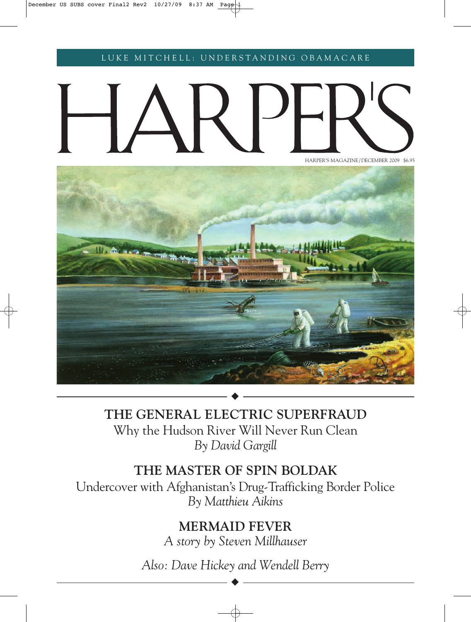LUKE MITCHELL: UNDERSTANDING OBAMACARE

# HARPER'S MAGAZINE / DECEMBER 2009 \$6.95



**THE GENERAL ELECTRIC SUPERFRAUD** Why the Hudson River Will Never Run Clean *By David Gargill*

## **THE MASTER OF SPIN BOLDAK**

Undercover with Afghanistan's Drug-Trafficking Border Police *By Matthieu Aikins*

## **MERMAID FEVER**

*A story by Steven Millhauser*

*Also: Dave Hickey and Wendell Berry*

◆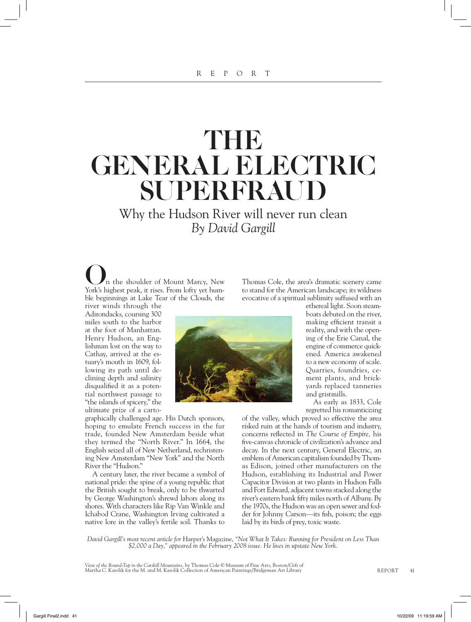# THE GENERAL ELECTRIC SUPERFRAUD

Why the Hudson River will never run clean *By David Gargill*

n the shoulder of Mount Marcy, New York's highest peak, it rises. From lofty yet humble beginnings at Lake Tear of the Clouds, the river winds through the

Adirondacks, coursing 300 miles south to the harbor at the foot of Manhattan. Henry Hudson, an Englishman lost on the way to Cathay, arrived at the estuary's mouth in 1609, following its path until declining depth and salinity disqualified it as a potential northwest passage to "the islands of spicery," the ultimate prize of a carto-

graphically challenged age. His Dutch sponsors, hoping to emulate French success in the fur trade, founded New Amsterdam beside what they termed the "North River." In 1664, the English seized all of New Netherland, rechristening New Amsterdam "New York" and the North River the "Hudson."

A century later, the river became a symbol of national pride: the spine of a young republic that the British sought to break, only to be thwarted by George Washington's shrewd labors along its shores. With characters like Rip Van Winkle and Ichabod Crane, Washington Irving cultivated a native lore in the valley's fertile soil. Thanks to

Thomas Cole, the area's dramatic scenery came to stand for the American landscape; its wildness evocative of a spiritual sublimity suffused with an

ethereal light. Soon steamboats debuted on the river, making efficient transit a reality, and with the opening of the Erie Canal, the engine of commerce quickened. America awakened to a new economy of scale. Quarries, foundries, cement plants, and brickyards replaced tanneries and gristmills.

As early as 1833, Cole regretted his romanticizing

of the valley, which proved so effective the area risked ruin at the hands of tourism and industry, concerns reflected in *The Course of Empire*, his five-canvas chronicle of civilization's advance and decay. In the next century, General Electric, an emblem of American capitalism founded by Thomas Edison, joined other manufacturers on the Hudson, establishing its Industrial and Power Capacitor Division at two plants in Hudson Falls and Fort Edward, adjacent towns stacked along the river's eastern bank fifty miles north of Albany. By the 1970s, the Hudson was an open sewer and fodder for Johnny Carson—its fish, poison; the eggs laid by its birds of prey, toxic waste.

*David Gargill's most recent article for* Harper's Magazine, *"Not What It Takes: Running for President on Less Than \$2,000 a Day," appeared in the February 2008 issue. He lives in upstate New York.*

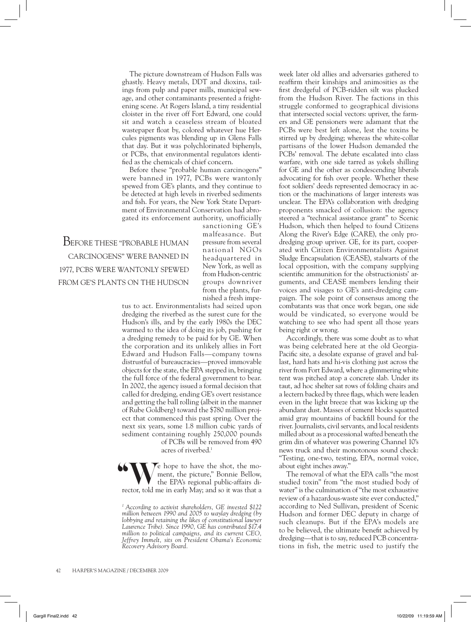The picture downstream of Hudson Falls was ghastly. Heavy metals, DDT and dioxins, tailings from pulp and paper mills, municipal sewage, and other contaminants presented a frightening scene. At Rogers Island, a tiny residential cloister in the river off Fort Edward, one could sit and watch a ceaseless stream of bloated wastepaper float by, colored whatever hue Hercules pigments was blending up in Glens Falls that day. But it was polychlorinated biphenyls, or PCBs, that environmental regulators identified as the chemicals of chief concern.

Before these "probable human carcinogens" were banned in 1977, PCBs were wantonly spewed from GE's plants, and they continue to be detected at high levels in riverbed sediments and fish. For years, the New York State Department of Environmental Conservation had abrogated its enforcement authority, unofficially

BEFORE THESE "PROBABLE HUMAN CARCINOGENS" WERE BANNED IN 1977, PCBS WERE WANTONLY SPEWED FROM GE'S PLANTS ON THE HUDSON

sanctioning GE's malfeasance. But pressure from several national NGOs headquartered in New York, as well as from Hudson-centric groups downriver from the plants, furnished a fresh impe-

tus to act. Environmentalists had seized upon dredging the riverbed as the surest cure for the Hudson's ills, and by the early 1980s the DEC warmed to the idea of doing its job, pushing for a dredging remedy to be paid for by GE. When the corporation and its unlikely allies in Fort Edward and Hudson Falls—company towns distrustful of bureaucracies—proved immovable objects for the state, the EPA stepped in, bringing the full force of the federal government to bear. In 2002, the agency issued a formal decision that called for dredging, ending GE's overt resistance and getting the ball rolling (albeit in the manner of Rube Goldberg) toward the \$780 million project that commenced this past spring. Over the next six years, some 1.8 million cubic yards of sediment containing roughly 250,000 pounds of PCBs will be removed from 490 acres of riverbed.1

Second the shot, the moment, the picture," Bonnie Bellow, the EPA's regional public-affairs diment, the picture," Bonnie Bellow, the EPA's regional public-affairs director, told me in early May; and so it was that a **66** 

week later old allies and adversaries gathered to reaffirm their kinships and animosities as the first dredgeful of PCB-ridden silt was plucked from the Hudson River. The factions in this struggle conformed to geographical divisions that intersected social vectors: upriver, the farmers and GE pensioners were adamant that the PCBs were best left alone, lest the toxins be stirred up by dredging; whereas the white-collar partisans of the lower Hudson demanded the PCBs' removal. The debate escalated into class warfare, with one side tarred as yokels shilling for GE and the other as condescending liberals advocating for fish over people. Whether these foot soldiers' deeds represented democracy in action or the machinations of larger interests was unclear. The EPA's collaboration with dredging proponents smacked of collusion: the agency steered a "technical assistance grant" to Scenic Hudson, which then helped to found Citizens Along the River's Edge (CARE), the only prodredging group upriver. GE, for its part, cooperated with Citizen Environmentalists Against Sludge Encapsulation (CEASE), stalwarts of the local opposition, with the company supplying scientific ammunition for the obstructionists' arguments, and CEASE members lending their voices and visages to GE's anti-dredging campaign. The sole point of consensus among the combatants was that once work began, one side would be vindicated, so everyone would be watching to see who had spent all those years being right or wrong.

Accordingly, there was some doubt as to what was being celebrated here at the old Georgia-Pacific site, a desolate expanse of gravel and ballast, hard hats and hi-vis clothing just across the river from Fort Edward, where a glimmering white tent was pitched atop a concrete slab. Under its taut, ad hoc shelter sat rows of folding chairs and a lectern backed by three flags, which were leaden even in the light breeze that was kicking up the abundant dust. Masses of cement blocks squatted amid gray mountains of backfill bound for the river. Journalists, civil servants, and local residents milled about as a processional wafted beneath the grim din of whatever was powering Channel 10's news truck and their monotonous sound check: "Testing, one-two, testing, EPA, normal voice, about eight inches away."

The removal of what the EPA calls "the most studied toxin" from "the most studied body of water" is the culmination of "the most exhaustive review of a hazardous-waste site ever conducted," according to Ned Sullivan, president of Scenic Hudson and former DEC deputy in charge of such cleanups. But if the EPA's models are to be believed, the ultimate benefit achieved by dredging—that is to say, reduced PCB concentrations in fish, the metric used to justify the

*<sup>1</sup> According to activist shareholders, GE invested \$122 million between 1990 and 2005 to waylay dredging (by lobbying and retaining the likes of constitutional lawyer Laurence Tribe). Since 1990, GE has contributed \$17.4 million to political campaigns, and its current CEO, Jeffrey Immelt, sits on President Obama's Economic Recovery Advisory Board.*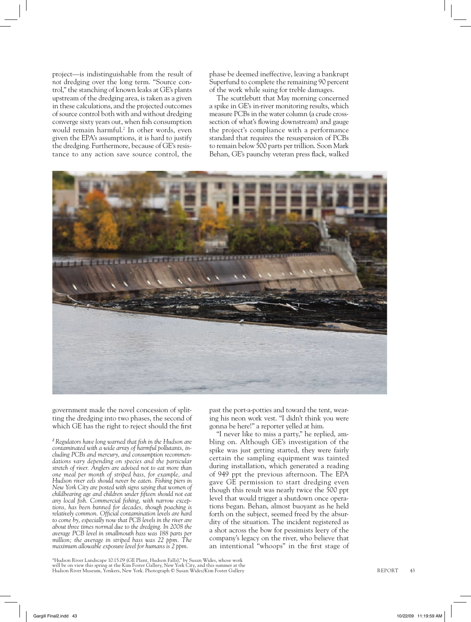project—is indistinguishable from the result of *not* dredging over the long term. "Source control," the stanching of known leaks at GE's plants upstream of the dredging area, is taken as a given in these calculations, and the projected outcomes of source control both with and without dredging converge sixty years out, when fish consumption would remain harmful.2 In other words, even given the EPA's assumptions, it is hard to justify the dredging. Furthermore, because of GE's resistance to any action save source control, the

phase be deemed ineffective, leaving a bankrupt Superfund to complete the remaining 90 percent of the work while suing for treble damages.

The scuttlebutt that May morning concerned a spike in GE's in-river monitoring results, which measure PCBs in the water column (a crude crosssection of what's flowing downstream) and gauge the project's compliance with a performance standard that requires the resuspension of PCBs to remain below 500 parts per trillion. Soon Mark Behan, GE's paunchy veteran press flack, walked



government made the novel concession of splitting the dredging into two phases, the second of which GE has the right to reject should the first

<sup>2</sup> Regulators have long warned that fish in the Hudson are *contaminated with a wide array of harmful pollutants, including PCBs and mercury, and consumption recommendations vary depending on species and the particular stretch of river. Anglers are advised not to eat more than one meal per month of striped bass, for example, and Hudson river eels should never be eaten. Fishing piers in New York City are posted with signs saying that women of childbearing age and children under fi fteen should not eat*  any local fish. Commercial fishing, with narrow excep*tions, has been banned for decades, though poaching is*  relatively common. Official contamination levels are hard *to come by, especially now that PCB levels in the river are about three times normal due to the dredging. In 2008 the average PCB level in smallmouth bass was 188 parts per million; the average in striped bass was 22 ppm. The maximum allowable exposure level for humans is 2 ppm.*

past the port-a-potties and toward the tent, wearing his neon work vest. "I didn't think you were gonna be here!" a reporter yelled at him.

"I never like to miss a party," he replied, ambling on. Although GE's investigation of the spike was just getting started, they were fairly certain the sampling equipment was tainted during installation, which generated a reading of 949 ppt the previous afternoon. The EPA gave GE permission to start dredging even though this result was nearly twice the 500 ppt level that would trigger a shutdown once operations began. Behan, almost buoyant as he held forth on the subject, seemed freed by the absurdity of the situation. The incident registered as a shot across the bow for pessimists leery of the company's legacy on the river, who believe that an intentional "whoops" in the first stage of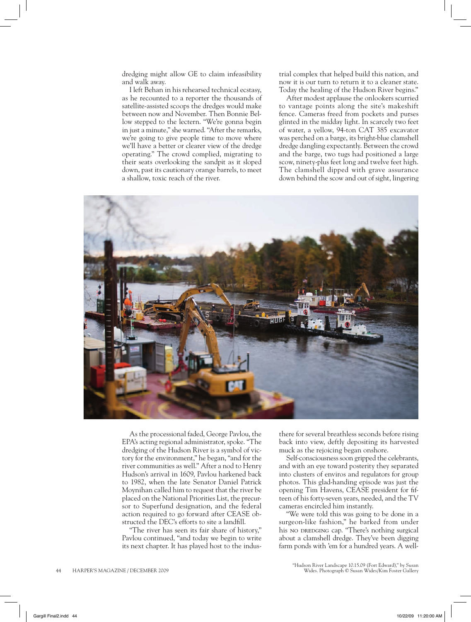dredging might allow GE to claim infeasibility and walk away.

I left Behan in his rehearsed technical ecstasy, as he recounted to a reporter the thousands of satellite-assisted scoops the dredges would make between now and November. Then Bonnie Bellow stepped to the lectern. "We're gonna begin in just a minute," she warned. "After the remarks, we're going to give people time to move where we'll have a better or clearer view of the dredge operating." The crowd complied, migrating to their seats overlooking the sandpit as it sloped down, past its cautionary orange barrels, to meet a shallow, toxic reach of the river.

trial complex that helped build this nation, and now it is our turn to return it to a cleaner state. Today the healing of the Hudson River begins."

After modest applause the onlookers scurried to vantage points along the site's makeshift fence. Cameras freed from pockets and purses glinted in the midday light. In scarcely two feet of water, a yellow, 94-ton CAT 385 excavator was perched on a barge, its bright-blue clamshell dredge dangling expectantly. Between the crowd and the barge, two tugs had positioned a large scow, ninety-plus feet long and twelve feet high. The clamshell dipped with grave assurance down behind the scow and out of sight, lingering



As the processional faded, George Pavlou, the EPA's acting regional administrator, spoke. "The dredging of the Hudson River is a symbol of victory for the environment," he began, "and for the river communities as well." After a nod to Henry Hudson's arrival in 1609, Pavlou harkened back to 1982, when the late Senator Daniel Patrick Moynihan called him to request that the river be placed on the National Priorities List, the precursor to Superfund designation, and the federal action required to go forward after CEASE obstructed the DEC's efforts to site a landfill.

"The river has seen its fair share of history," Pavlou continued, "and today we begin to write its next chapter. It has played host to the indus-

there for several breathless seconds before rising back into view, deftly depositing its harvested muck as the rejoicing began onshore.

Self-consciousness soon gripped the celebrants, and with an eye toward posterity they separated into clusters of enviros and regulators for group photos. This glad-handing episode was just the opening Tim Havens, CEASE president for fifteen of his forty-seven years, needed, and the TV cameras encircled him instantly.

"We were told this was going to be done in a surgeon-like fashion," he barked from under his no DREDGING cap. "There's nothing surgical about a clamshell dredge. They've been digging farm ponds with 'em for a hundred years. A well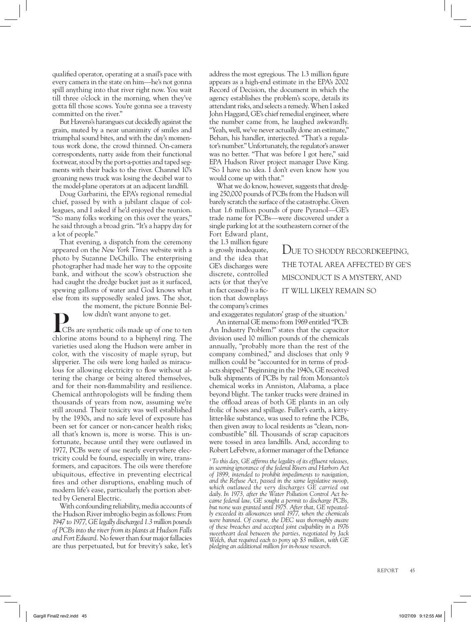qualified operator, operating at a snail's pace with every camera in the state on him—he's not gonna spill anything into that river right now. You wait till three o'clock in the morning, when they've gotta fill those scows. You're gonna see a travesty committed on the river."

But Havens's harangues cut decidedly against the grain, muted by a near unanimity of smiles and triumphal sound bites, and with the day's momentous work done, the crowd thinned. On-camera correspondents, natty aside from their functional footwear, stood by the port-a-potties and taped segments with their backs to the river. Channel 10's groaning news truck was losing the decibel war to the model-plane operators at an adjacent landfill.

Doug Garbarini, the EPA's regional remedial chief, passed by with a jubilant claque of colleagues, and I asked if he'd enjoyed the reunion. "So many folks working on this over the years," he said through a broad grin. "It's a happy day for a lot of people."

That evening, a dispatch from the ceremony appeared on the *New York Times* website with a photo by Suzanne DeChillo. The enterprising photographer had made her way to the opposite bank, and without the scow's obstruction she had caught the dredge bucket just as it surfaced, spewing gallons of water and God knows what else from its supposedly sealed jaws. The shot,

the moment, the picture Bonnie Bel-

**l**ow didn't want anyone to get.<br>CBs are synthetic oils made up of one to ten chlorine atoms bound to a biphenyl ring. The varieties used along the Hudson were amber in color, with the viscosity of maple syrup, but slipperier. The oils were long hailed as miraculous for allowing electricity to flow without altering the charge or being altered themselves, and for their non-flammability and resilience. Chemical anthropologists will be finding them thousands of years from now, assuming we're still around. Their toxicity was well established by the 1930s, and no safe level of exposure has been set for cancer or non-cancer health risks; all that's known is, more is worse. This is unfortunate, because until they were outlawed in 1977, PCBs were of use nearly everywhere electricity could be found, especially in wire, transformers, and capacitors. The oils were therefore ubiquitous, effective in preventing electrical fires and other disruptions, enabling much of modern life's ease, particularly the portion abetted by General Electric.

With confounding reliability, media accounts of the Hudson River imbroglio begin as follows: *From 1947 to 1977, GE legally discharged 1.3 million pounds of PCBs into the river from its plants at Hudson Falls and Fort Edward.* No fewer than four major fallacies are thus perpetuated, but for brevity's sake, let's address the most egregious. The 1.3 million figure appears as a high-end estimate in the EPA's 2002 Record of Decision, the document in which the agency establishes the problem's scope, details its attendant risks, and selects a remedy. When I asked John Haggard, GE's chief remedial engineer, where the number came from, he laughed awkwardly. "Yeah, well, we've never actually done an estimate," Behan, his handler, interjected. "That's a regulator's number." Unfortunately, the regulator's answer was no better. "That was before I got here," said EPA Hudson River project manager Dave King. "So I have no idea. I don't even know how you would come up with that."

What we do know, however, suggests that dredging 250,000 pounds of PCBs from the Hudson will barely scratch the surface of the catastrophe. Given that 1.6 million pounds of pure Pyranol—GE's trade name for PCBs—were discovered under a single parking lot at the southeastern corner of the

Fort Edward plant, the 1.3 million figure is grossly inadequate, and the idea that GE's discharges were discrete, controlled acts (or that they've in fact ceased) is a fiction that downplays the company's crimes

DUE TO SHODDY RECORDKEEPING, THE TOTAL AREA AFFECTED BY GE'S MISCONDUCT IS A MYSTERY, AND IT WILL LIKELY REMAIN SO

and exaggerates regulators' grasp of the situation.3

An internal GE memo from 1969 entitled "PCB: An Industry Problem?" states that the capacitor division used 10 million pounds of the chemicals annually, "probably more than the rest of the company combined," and discloses that only 9 million could be "accounted for in terms of products shipped." Beginning in the 1940s, GE received bulk shipments of PCBs by rail from Monsanto's chemical works in Anniston, Alabama, a place beyond blight. The tanker trucks were drained in the offload areas of both GE plants in an oily frolic of hoses and spillage. Fuller's earth, a kittylitter-like substance, was used to refine the PCBs, then given away to local residents as "clean, noncombustible" fill. Thousands of scrap capacitors were tossed in area landfills. And, according to Robert LeFebvre, a former manager of the Defiance

<sup>3</sup> To this day, GE affirms the legality of its effluent releases, *in seeming ignorance of the federal Rivers and Harbors Act of 1899, intended to prohibit impediments to navigation, and the Refuse Act, passed in the same legislative swoop, which outlawed the very discharges GE carried out daily. In 1973, after the Water Pollution Control Act became federal law, GE sought a permit to discharge PCBs, but none was granted until 1975. After that, GE repeatedly exceeded its allowances until 1977, when the chemicals were banned. Of course, the DEC was thoroughly aware of these breaches and accepted joint culpability in a 1976 sweetheart deal between the parties, negotiated by Jack Welch, that required each to pony up \$3 million, with GE pledging an additional million for in-house research.*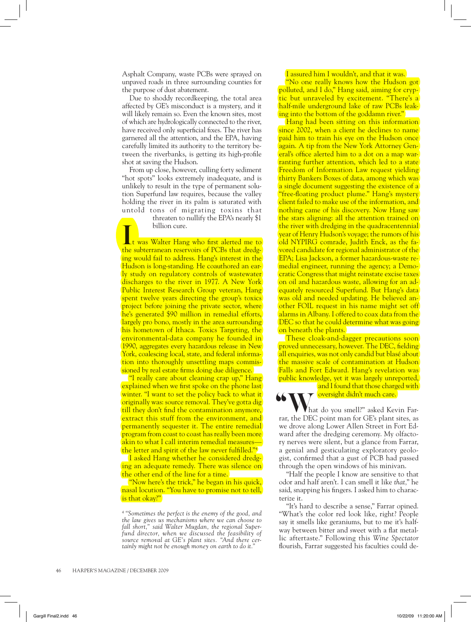Asphalt Company, waste PCBs were sprayed on unpaved roads in three surrounding counties for the purpose of dust abatement.

Due to shoddy recordkeeping, the total area affected by GE's misconduct is a mystery, and it will likely remain so. Even the known sites, most of which are hydrologically connected to the river, have received only superficial fixes. The river has garnered all the attention, and the EPA, having carefully limited its authority to the territory between the riverbanks, is getting its high-profile shot at saving the Hudson.

From up close, however, culling forty sediment "hot spots" looks extremely inadequate, and is unlikely to result in the type of permanent solution Superfund law requires, because the valley holding the river in its palm is saturated with untold tons of migrating toxins that

 threaten to nullify the EPA's nearly \$1 ing billion cure.<br>It was Walter Hang who first alerted me to

the subterranean reservoirs of PCBs that dredging would fail to address. Hang's interest in the Hudson is long-standing. He coauthored an early study on regulatory controls of wastewater discharges to the river in 1977. A New York Public Interest Research Group veteran, Hang spent twelve years directing the group's toxics project before joining the private sector, where he's generated \$90 million in remedial efforts, largely pro bono, mostly in the area surrounding his hometown of Ithaca. Toxics Targeting, the environmental-data company he founded in 1990, aggregates every hazardous release in New York, coalescing local, state, and federal information into thoroughly unsettling maps commissioned by real estate firms doing due diligence.

"I really care about cleaning crap up," Hang explained when we first spoke on the phone last winter. "I want to set the policy back to what it originally was: source removal. They've gotta dig till they don't find the contamination anymore, extract this stuff from the environment, and permanently sequester it. The entire remedial program from coast to coast has really been more akin to what I call interim remedial measures the letter and spirit of the law never fulfilled." $4$ 

I asked Hang whether he considered dredging an adequate remedy. There was silence on the other end of the line for a time.

"Now here's the trick," he began in his quick, nasal locution. "You have to promise not to tell, is that okay?"

### I assured him I wouldn't, and that it was.

"No one really knows how the Hudson got polluted, and I do," Hang said, aiming for cryptic but unraveled by excitement. "There's a half-mile underground lake of raw PCBs leaking into the bottom of the goddamn river."

Hang had been sitting on this information since 2002, when a client he declines to name paid him to train his eye on the Hudson once again. A tip from the New York Attorney General's office alerted him to a dot on a map warranting further attention, which led to a state Freedom of Information Law request yielding thirty Bankers Boxes of data, among which was a single document suggesting the existence of a "free-floating product plume." Hang's mystery client failed to make use of the information, and nothing came of his discovery. Now Hang saw the stars aligning: all the attention trained on the river with dredging in the quadracentennial year of Henry Hudson's voyage; the rumors of his old NYPIRG comrade, Judith Enck, as the favored candidate for regional administrator of the EPA; Lisa Jackson, a former hazardous-waste remedial engineer, running the agency; a Democratic Congress that might reinstate excise taxes on oil and hazardous waste, allowing for an adequately resourced Superfund. But Hang's data was old and needed updating. He believed another FOIL request in his name might set off alarms in Albany. I offered to coax data from the DEC so that he could determine what was going on beneath the plants.

These cloak-and-dagger precautions soon proved unnecessary, however. The DEC, fielding all enquiries, was not only candid but blasé about the massive scale of contamination at Hudson Falls and Fort Edward. Hang's revelation was public knowledge, yet it was largely unreported,

and I found that those charged with  $\gamma$  oversight didn't much care. Vhat do you smell?" asked Kevin Far-**66 What** do you smell?" asked Kevin Farrar, the DEC point man for GE's plant sites, as we drove along Lower Allen Street in Fort Ed-

ward after the dredging ceremony. My olfactory nerves were silent, but a glance from Farrar, a genial and gesticulating exploratory geologist, confirmed that a gust of PCB had passed through the open windows of his minivan.

"Half the people I know are sensitive to that odor and half aren't. I can smell it like *that,*" he said, snapping his fingers. I asked him to characterize it.

"It's hard to describe a sense," Farrar opined. "What's the color red look like, right? People say it smells like geraniums, but to me it's halfway between bitter and sweet with a flat metallic aftertaste." Following this *Wine Spectator*  flourish, Farrar suggested his faculties could de-

*<sup>4 &</sup>quot;Sometimes the perfect is the enemy of the good, and the law gives us mechanisms where we can choose to fall short," said Walter Mugdan, the regional Superfund director, when we discussed the feasibility of source removal at GE's plant sites. "And there certainly might not be enough money on earth to do it."*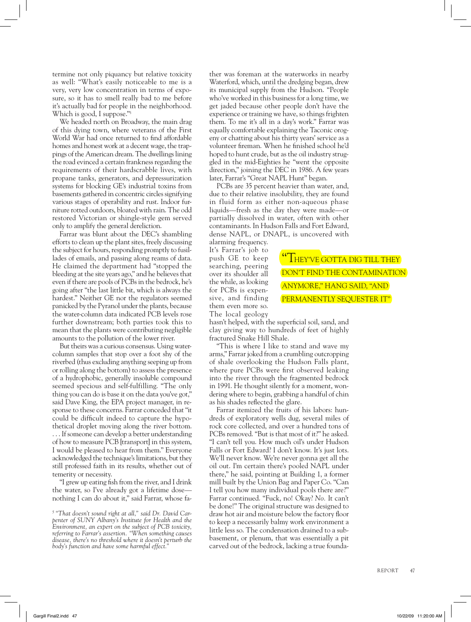termine not only piquancy but relative toxicity as well: "What's easily noticeable to me is a very, very low concentration in terms of exposure, so it has to smell really bad to me before it's actually bad for people in the neighborhood. Which is good, I suppose."<sup>5</sup>

We headed north on Broadway, the main drag of this dying town, where veterans of the First World War had once returned to find affordable homes and honest work at a decent wage, the trappings of the American dream. The dwellings lining the road evinced a certain frankness regarding the requirements of their hardscrabble lives, with propane tanks, generators, and depressurization systems for blocking GE's industrial toxins from basements gathered in concentric circles signifying various stages of operability and rust. Indoor furniture rotted outdoors, bloated with rain. The odd restored Victorian or shingle-style gem served only to amplify the general dereliction.

Farrar was blunt about the DEC's shambling efforts to clean up the plant sites, freely discussing the subject for hours, responding promptly to fusillades of emails, and passing along reams of data. He claimed the department had "stopped the bleeding at the site years ago," and he believes that even if there are pools of PCBs in the bedrock, he's going after "the last little bit, which is always the hardest." Neither GE nor the regulators seemed panicked by the Pyranol under the plants, because the water-column data indicated PCB levels rose further downstream; both parties took this to mean that the plants were contributing negligible amounts to the pollution of the lower river.

But theirs was a curious consensus. Using watercolumn samples that stop over a foot shy of the riverbed (thus excluding anything seeping up from or rolling along the bottom) to assess the presence of a hydrophobic, generally insoluble compound seemed specious and self-fulfilling. "The only thing you can do is base it on the data you've got," said Dave King, the EPA project manager, in response to these concerns. Farrar conceded that "it could be difficult indeed to capture the hypothetical droplet moving along the river bottom. . . . If someone can develop a better understanding of how to measure PCB [transport] in this system, I would be pleased to hear from them." Everyone acknowledged the technique's limitations, but they still professed faith in its results, whether out of temerity or necessity.

"I grew up eating fish from the river, and I drink the water, so I've already got a lifetime dose nothing I can do about it," said Farrar, whose father was foreman at the waterworks in nearby Waterford, which, until the dredging began, drew its municipal supply from the Hudson. "People who've worked in this business for a long time, we get jaded because other people don't have the experience or training we have, so things frighten them. To me it's all in a day's work." Farrar was equally comfortable explaining the Taconic orogeny or chatting about his thirty years' service as a volunteer fireman. When he finished school he'd hoped to hunt crude, but as the oil industry struggled in the mid-Eighties he "went the opposite direction," joining the DEC in 1986. A few years later, Farrar's "Great NAPL Hunt" began.

PCBs are 35 percent heavier than water, and, due to their relative insolubility, they are found in fluid form as either non-aqueous phase liquids—fresh as the day they were made—or partially dissolved in water, often with other contaminants. In Hudson Falls and Fort Edward, dense NAPL, or DNAPL, is uncovered with

alarming frequency. It's Farrar's job to push GE to keep searching, peering over its shoulder all the while, as looking for PCBs is expensive, and finding them even more so. The local geology

**HEY'VE GOTTA DIG TILL THEY** DON'T FIND THE CONTAMINATION ANYMORE," HANG SAID, "AND PERMANENTLY SEQUESTER IT"

hasn't helped, with the superficial soil, sand, and clay giving way to hundreds of feet of highly fractured Snake Hill Shale.

"This is where I like to stand and wave my arms," Farrar joked from a crumbling outcropping of shale overlooking the Hudson Falls plant, where pure PCBs were first observed leaking into the river through the fragmented bedrock in 1991. He thought silently for a moment, wondering where to begin, grabbing a handful of chin as his shades reflected the glare.

Farrar itemized the fruits of his labors: hundreds of exploratory wells dug, several miles of rock core collected, and over a hundred tons of PCBs removed. "But is that most of it?" he asked. "I can't tell you. How much oil's under Hudson Falls or Fort Edward? I don't know. It's just lots. We'll never know. We're never gonna get all the oil out. I'm certain there's pooled NAPL under there," he said, pointing at Building 1, a former mill built by the Union Bag and Paper Co. "Can I tell you how many individual pools there are?" Farrar continued. "Fuck, no! Okay? *No.* It can't be done!" The original structure was designed to draw hot air and moisture below the factory floor to keep a necessarily balmy work environment a little less so. The condensation drained to a subbasement, or plenum, that was essentially a pit carved out of the bedrock, lacking a true founda-

*<sup>5 &</sup>quot;That doesn't sound right at all," said Dr. David Carpenter of SUNY Albany's Institute for Health and the Environment, an expert on the subject of PCB toxicity, referring to Farrar's assertion. "When something causes disease, there's no threshold where it doesn't perturb the body's function and have some harmful effect."*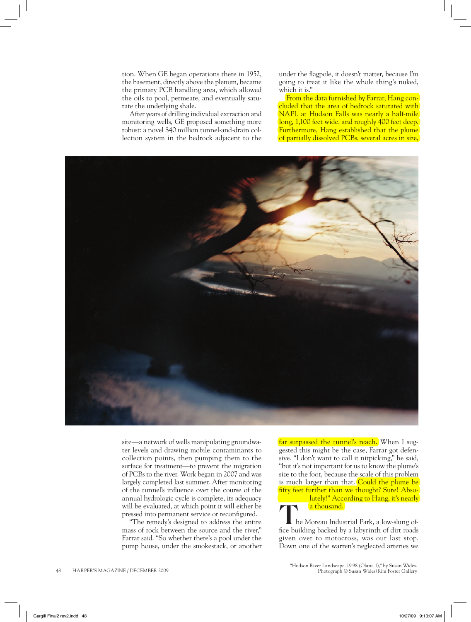tion. When GE began operations there in 1952, the basement, directly above the plenum, became the primary PCB handling area, which allowed the oils to pool, permeate, and eventually saturate the underlying shale.

After years of drilling individual extraction and monitoring wells, GE proposed something more robust: a novel \$40 million tunnel-and-drain collection system in the bedrock adjacent to the under the flagpole, it doesn't matter, because I'm going to treat it like the whole thing's nuked, which it is."

From the data furnished by Farrar, Hang concluded that the area of bedrock saturated with NAPL at Hudson Falls was nearly a half-mile long, 1,100 feet wide, and roughly 400 feet deep. Furthermore, Hang established that the plume of partially dissolved PCBs, several acres in size,



site—a network of wells manipulating groundwater levels and drawing mobile contaminants to collection points, then pumping them to the surface for treatment—to prevent the migration of PCBs to the river. Work began in 2007 and was largely completed last summer. After monitoring of the tunnel's influence over the course of the annual hydrologic cycle is complete, its adequacy will be evaluated, at which point it will either be pressed into permanent service or reconfigured.

"The remedy's designed to address the entire mass of rock between the source and the river," Farrar said. "So whether there's a pool under the pump house, under the smokestack, or another far surpassed the tunnel's reach. When I suggested this might be the case, Farrar got defensive. "I don't want to call it nitpicking," he said, "but it's not important for us to know the plume's size to the foot, because the scale of this problem is much larger than that. Could the plume be fifty feet further than we thought? Sure! Absolutely!" According to Hang, it's nearly a thousand.)<br>L he Moreau Industrial Park, a low-slung of-

fice building backed by a labyrinth of dirt roads given over to motocross, was our last stop. Down one of the warren's neglected arteries we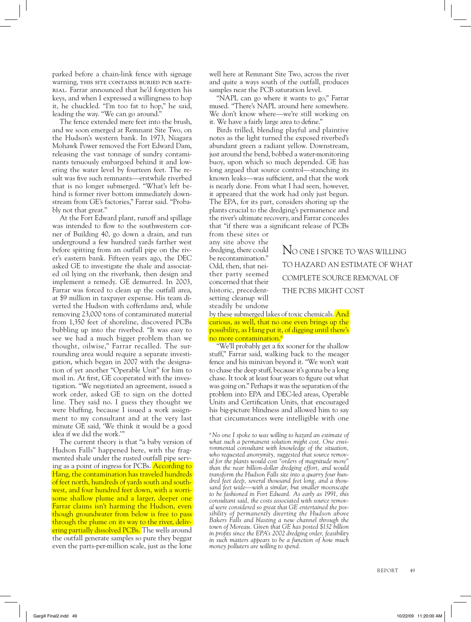parked before a chain-link fence with signage warning, THIS SITE CONTAINS BURIED PCB MATErial. Farrar announced that he'd forgotten his keys, and when I expressed a willingness to hop it, he chuckled. "I'm too fat to hop," he said, leading the way. "We can go around."

The fence extended mere feet into the brush, and we soon emerged at Remnant Site Two, on the Hudson's western bank. In 1973, Niagara Mohawk Power removed the Fort Edward Dam, releasing the vast tonnage of sundry contaminants tenuously embargoed behind it and lowering the water level by fourteen feet. The result was five such remnants—erstwhile riverbed that is no longer submerged. "What's left behind is former river bottom immediately downstream from GE's factories," Farrar said. "Probably not that great."

At the Fort Edward plant, runoff and spillage was intended to flow to the southwestern corner of Building 40, go down a drain, and run underground a few hundred yards farther west before spitting from an outfall pipe on the river's eastern bank. Fifteen years ago, the DEC asked GE to investigate the shale and associated oil lying on the riverbank, then design and implement a remedy. GE demurred. In 2003, Farrar was forced to clean up the outfall area, at \$9 million in taxpayer expense. His team diverted the Hudson with cofferdams and, while removing 23,000 tons of contaminated material from 1,350 feet of shoreline, discovered PCBs bubbling up into the riverbed. "It was easy to see we had a much bigger problem than we thought, oilwise," Farrar recalled. The surrounding area would require a separate investigation, which began in 2007 with the designation of yet another "Operable Unit" for him to moil in. At first, GE cooperated with the investigation. "We negotiated an agreement, issued a work order, asked GE to sign on the dotted line. They said no. I guess they thought we were bluffing, because I issued a work assignment to my consultant and at the very last minute GE said, 'We think it would be a good idea if we did the work.'"

The current theory is that "a baby version of Hudson Falls" happened here, with the fragmented shale under the rusted outfall pipe serving as a point of ingress for PCBs. According to Hang, the contamination has traveled hundreds of feet north, hundreds of yards south and southwest, and four hundred feet down, with a worrisome shallow plume and a larger, deeper one Farrar claims isn't harming the Hudson, even though groundwater from below is free to pass through the plume on its way to the river, delivering partially dissolved PCBs. The wells around the outfall generate samples so pure they beggar even the parts-per-million scale, just as the lone

well here at Remnant Site Two, across the river and quite a ways south of the outfall, produces samples near the PCB saturation level.

"NAPL can go where it wants to go," Farrar mused. "There's NAPL around here somewhere. We don't know where—we're still working on it. We have a fairly large area to define."

Birds trilled, blending playful and plaintive notes as the light turned the exposed riverbed's abundant green a radiant yellow. Downstream, just around the bend, bobbed a water-monitoring buoy, upon which so much depended. GE has long argued that source control—stanching its known leaks—was sufficient, and that the work is nearly done. From what I had seen, however, it appeared that the work had only just begun. The EPA, for its part, considers shoring up the plants crucial to the dredging's permanence and the river's ultimate recovery, and Farrar concedes that "if there was a significant release of PCBs

from these sites or any site above the dredging, there could be recontamination." Odd, then, that neither party seemed concerned that their historic, precedentsetting cleanup will steadily be undone

by these submerged lakes of toxic chemicals. And curious, as well, that no one even brings up the possibility, as Hang put it, of digging until there's no more contamination.6

"We'll probably get a fix sooner for the shallow stuff," Farrar said, walking back to the meager fence and his minivan beyond it. "We won't wait to chase the deep stuff, because it's gonna be a long chase. It took at least four years to figure out what was going on." Perhaps it was the separation of the problem into EPA and DEC-led areas, Operable Units and Certification Units, that encouraged his big-picture blindness and allowed him to say that circumstances were intelligible with one

*6 No one I spoke to was willing to hazard an estimate of what such a permanent solution might cost. One environmental consultant with knowledge of the situation, who requested anonymity, suggested that source removal for the plants would cost "orders of magnitude more" than the near billion-dollar dredging effort, and would transform the Hudson Falls site into a quarry four hundred feet deep, several thousand feet long, and a thousand feet wide—with a similar, but smaller moonscape to be fashioned in Fort Edward. As early as 1991, this consultant said, the costs associated with source removal were considered so great that GE entertained the possibility of permanently diverting the Hudson above Bakers Falls and blasting a new channel through the town of Moreau. Given that GE has posted \$132 billion*  in profits since the EPA's 2002 dredging order, feasibility *in such matters appears to be a function of how much money polluters are willing to spend.* 

NO ONE I SPOKE TO WAS WILLING TO HAZARD AN ESTIMATE OF WHAT COMPLETE SOURCE REMOVAL OF THE PCBS MIGHT COST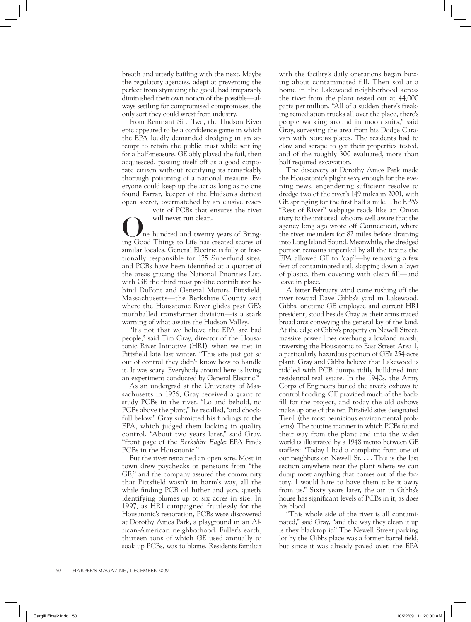breath and utterly baffling with the next. Maybe the regulatory agencies, adept at preventing the perfect from stymieing the good, had irreparably diminished their own notion of the possible—always settling for compromised compromises, the only sort they could wrest from industry.

From Remnant Site Two, the Hudson River epic appeared to be a confidence game in which the EPA loudly demanded dredging in an attempt to retain the public trust while settling for a half-measure. GE ably played the foil, then acquiesced, passing itself off as a good corporate citizen without rectifying its remarkably thorough poisoning of a national treasure. Everyone could keep up the act as long as no one found Farrar, keeper of the Hudson's dirtiest open secret, overmatched by an elusive reser-

voir of PCBs that ensures the river

will never run clean.<br>
The hundred and twenty years of Bringing Good Things to Life has created scores of similar locales. General Electric is fully or fractionally responsible for 175 Superfund sites, and PCBs have been identified at a quarter of the areas gracing the National Priorities List, with GE the third most prolific contributor behind DuPont and General Motors. Pittsfield, Massachusetts—the Berkshire County seat where the Housatonic River glides past GE's mothballed transformer division—is a stark warning of what awaits the Hudson Valley.

"It's not that we believe the EPA are bad people," said Tim Gray, director of the Housatonic River Initiative (HRI), when we met in Pittsfield late last winter. "This site just got so out of control they didn't know how to handle it. It was scary. Everybody around here is living an experiment conducted by General Electric."

As an undergrad at the University of Massachusetts in 1976, Gray received a grant to study PCBs in the river. "Lo and behold, no PCBs above the plant," he recalled, "and chockfull below." Gray submitted his findings to the EPA, which judged them lacking in quality control. "About two years later," said Gray, "front page of the *Berkshire Eagle*: EPA Finds PCBs in the Housatonic."

But the river remained an open sore. Most in town drew paychecks or pensions from "the GE," and the company assured the community that Pittsfield wasn't in harm's way, all the while finding PCB oil hither and yon, quietly identifying plumes up to six acres in size. In 1997, as HRI campaigned fruitlessly for the Housatonic's restoration, PCBs were discovered at Dorothy Amos Park, a playground in an African-American neighborhood. Fuller's earth, thirteen tons of which GE used annually to soak up PCBs, was to blame. Residents familiar with the facility's daily operations began buzzing about contaminated fill. Then soil at a home in the Lakewood neighborhood across the river from the plant tested out at 44,000 parts per million. "All of a sudden there's freaking remediation trucks all over the place, there's people walking around in moon suits," said Gray, surveying the area from his Dodge Caravan with NOPCBS plates. The residents had to claw and scrape to get their properties tested, and of the roughly 300 evaluated, more than half required excavation.

The discovery at Dorothy Amos Park made the Housatonic's plight sexy enough for the evening news, engendering sufficient resolve to dredge two of the river's 149 miles in 2001, with GE springing for the first half a mile. The EPA's "Rest of River" webpage reads like an *Onion* story to the initiated, who are well aware that the agency long ago wrote off Connecticut, where the river meanders for 82 miles before draining into Long Island Sound. Meanwhile, the dredged portion remains imperiled by all the toxins the EPA allowed GE to "cap"—by removing a few feet of contaminated soil, slapping down a layer of plastic, then covering with clean fill—and leave in place.

A bitter February wind came rushing off the river toward Dave Gibbs's yard in Lakewood. Gibbs, onetime GE employee and current HRI president, stood beside Gray as their arms traced broad arcs conveying the general lay of the land. At the edge of Gibbs's property on Newell Street, massive power lines overhung a lowland marsh, traversing the Housatonic to East Street Area 1, a particularly hazardous portion of GE's 254-acre plant. Gray and Gibbs believe that Lakewood is riddled with PCB dumps tidily bulldozed into residential real estate. In the 1940s, the Army Corps of Engineers buried the river's oxbows to control flooding. GE provided much of the backfill for the project, and today the old oxbows make up one of the ten Pittsfield sites designated Tier-1 (the most pernicious environmental problems). The routine manner in which PCBs found their way from the plant and into the wider world is illustrated by a 1948 memo between GE staffers: "Today I had a complaint from one of our neighbors on Newell St. . . . This is the last section anywhere near the plant where we can dump most anything that comes out of the factory. I would hate to have them take it away from us." Sixty years later, the air in Gibbs's house has significant levels of PCBs in it, as does his blood.

"This whole side of the river is all contaminated," said Gray, "and the way they clean it up is they blacktop it." The Newell Street parking lot by the Gibbs place was a former barrel field, but since it was already paved over, the EPA